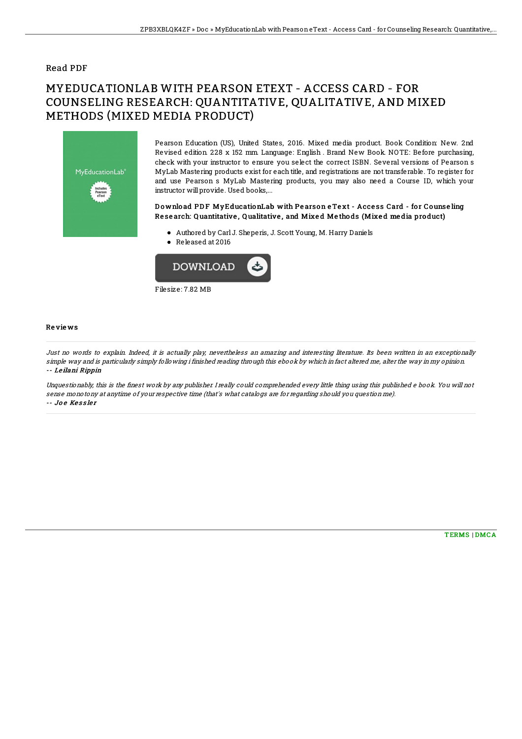### Read PDF

# MYEDUCATIONLAB WITH PEARSON ETEXT - ACCESS CARD - FOR COUNSELING RESEARCH: QUANTITATIVE, QUALITATIVE, AND MIXED METHODS (MIXED MEDIA PRODUCT)



Pearson Education (US), United States, 2016. Mixed media product. Book Condition: New. 2nd Revised edition. 228 x 152 mm. Language: English . Brand New Book. NOTE: Before purchasing, check with your instructor to ensure you select the correct ISBN. Several versions of Pearson s MyLab Mastering products exist for each title, and registrations are not transferable. To register for and use Pearson s MyLab Mastering products, you may also need a Course ID, which your instructor will provide. Used books,...

#### Download PDF MyEducationLab with Pearson eText - Access Card - for Counseling Re se arch: Q uantitative , Q ualitative , and Mixe d Me tho ds (Mixe d me dia pro duct)

- Authored by Carl J. Sheperis, J. Scott Young, M. Harry Daniels
- Released at 2016



#### Re vie ws

Just no words to explain. Indeed, it is actually play, nevertheless an amazing and interesting literature. Its been written in an exceptionally simple way and is particularly simply following i finished reading through this ebook by which in fact altered me, alter the way in my opinion. -- Le ilani Rippin

Unquestionably, this is the Bnest work by any publisher. I really could comprehended every little thing using this published <sup>e</sup> book. You will not sense monotony at anytime of your respective time (that's what catalogs are for regarding should you question me). -- Joe Kessler